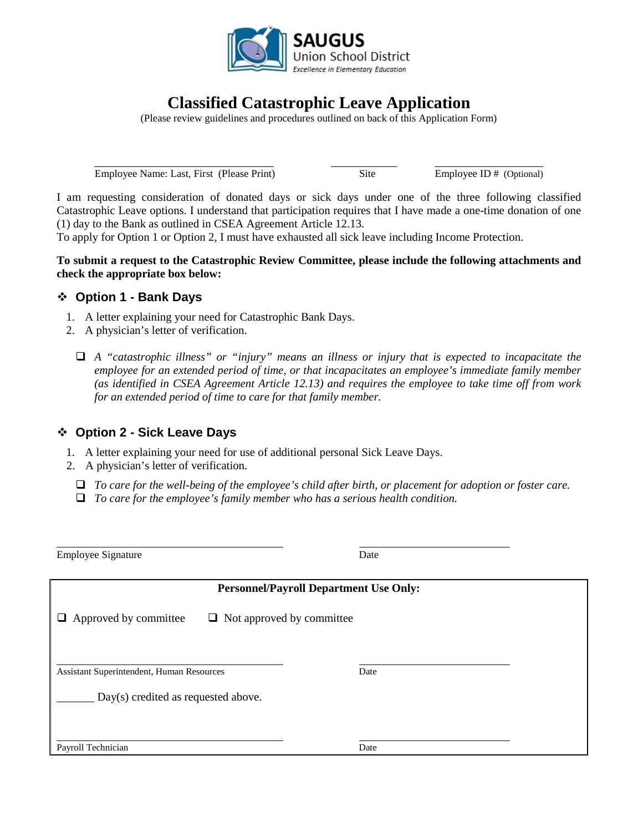

# **Classified Catastrophic Leave Application**

(Please review guidelines and procedures outlined on back of this Application Form)

Employee Name: Last, First (Please Print) Site Employee ID # (Optional)

I am requesting consideration of donated days or sick days under one of the three following classified Catastrophic Leave options. I understand that participation requires that I have made a one-time donation of one (1) day to the Bank as outlined in CSEA Agreement Article 12.13.

To apply for Option 1 or Option 2*,* I must have exhausted all sick leave including Income Protection.

**To submit a request to the Catastrophic Review Committee, please include the following attachments and check the appropriate box below:**

## **Option 1 - Bank Days**

1. A letter explaining your need for Catastrophic Bank Days.

Employee Signature Date

- 2. A physician's letter of verification.
	- *A "catastrophic illness" or "injury" means an illness or injury that is expected to incapacitate the employee for an extended period of time, or that incapacitates an employee's immediate family member (as identified in CSEA Agreement Article 12.13) and requires the employee to take time off from work for an extended period of time to care for that family member.*

## **Option 2 - Sick Leave Days**

 $\overline{a}$ 

- 1. A letter explaining your need for use of additional personal Sick Leave Days.
- 2. A physician's letter of verification.
	- *To care for the well-being of the employee's child after birth, or placement for adoption or foster care.*
	- *To care for the employee's family member who has a serious health condition.*

**Personnel/Payroll Department Use Only:**  $\Box$  Approved by committee  $\Box$  Not approved by committee  $\overline{a}$ Assistant Superintendent, Human Resources Date Day(s) credited as requested above.  $\overline{a}$ Payroll Technician Date